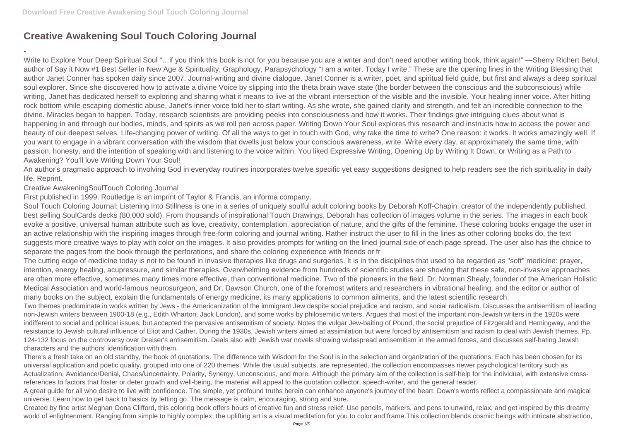## **Creative Awakening Soul Touch Coloring Journal**

-

Write to Explore Your Deep Spiritual Soul "...if you think this book is not for you because you are a writer and don't need another writing book, think again!" —Sherry Richert Belul, author of Say it Now #1 Best Seller in New Age & Spirituality, Graphology, Parapsychology "I am a writer. Today I write." These are the opening lines in the Writing Blessing that author Janet Conner has spoken daily since 2007. Journal-writing and divine dialogue. Janet Conner is a writer, poet, and spiritual field guide, but first and always a deep spiritual soul explorer. Since she discovered how to activate a divine Voice by slipping into the theta brain wave state (the border between the conscious and the subconscious) while writing, Janet has dedicated herself to exploring and sharing what it means to live at the vibrant intersection of the visible and the invisible. Your healing inner voice. After hitting rock bottom while escaping domestic abuse, Janet's inner voice told her to start writing. As she wrote, she gained clarity and strength, and felt an incredible connection to the divine. Miracles began to happen. Today, research scientists are providing peeks into consciousness and how it works. Their findings give intriguing clues about what is happening in and through our bodies, minds, and spirits as we roll pen across paper. Writing Down Your Soul explores this research and instructs how to access the power and beauty of our deepest selves. Life-changing power of writing. Of all the ways to get in touch with God, why take the time to write? One reason: it works. It works amazingly well. If you want to engage in a vibrant conversation with the wisdom that dwells just below your conscious awareness, write. Write every day, at approximately the same time, with passion, honesty, and the intention of speaking with and listening to the voice within. You liked Expressive Writing, Opening Up by Writing It Down, or Writing as a Path to Awakening? You'll love Writing Down Your Soul!

An author's pragmatic approach to involving God in everyday routines incorporates twelve specific yet easy suggestions designed to help readers see the rich spirituality in daily life. Reprint.

Creative AwakeningSoulTouch Coloring Journal

First published in 1999. Routledge is an imprint of Taylor & Francis, an informa company.

Soul Touch Coloring Journal: Listening Into Stillness is one in a series of uniquely soulful adult coloring books by Deborah Koff-Chapin, creator of the independently published, best selling SoulCards decks (80,000 sold). From thousands of inspirational Touch Drawings, Deborah has collection of images volume in the series. The images in each book evoke a positive, universal human attribute such as love, creativity, contemplation, appreciation of nature, and the gifts of the feminine. These coloring books engage the user in an active relationship with the inspiring images through free-form coloring and journal writing. Rather instruct the user to fill in the lines as other coloring books do, the text suggests more creative ways to play with color on the images. It also provides prompts for writing on the lined-journal side of each page spread. The user also has the choice to separate the pages from the book through the perforations, and share the coloring experience with friends or fr

Created by fine artist Meghan Oona Clifford, this coloring book offers hours of creative fun and stress relief. Use pencils, markers, and pens to unwind, relax, and get inspired by this dreamy world of enlightenment. Ranging from simple to highly complex, the uplifting art is a visual meditation for you to color and frame. This collection blends cosmic beings with intricate abstraction,

The cutting edge of medicine today is not to be found in invasive therapies like drugs and surgeries. It is in the disciplines that used to be regarded as "soft" medicine: prayer, intention, energy healing, acupressure, and similar therapies. Overwhelming evidence from hundreds of scientific studies are showing that these safe, non-invasive approaches are often more effective, sometimes many times more effective, than conventional medicine. Two of the pioneers in the field, Dr. Norman Shealy, founder of the American Holistic Medical Association and world-famous neurosurgeon, and Dr. Dawson Church, one of the foremost writers and researchers in vibrational healing, and the editor or author of many books on the subject, explain the fundamentals of energy medicine, its many applications to common ailments, and the latest scientific research. Two themes predominate in works written by Jews - the Americanization of the immigrant Jew despite social prejudice and racism, and social radicalism. Discusses the antisemitism of leading non-Jewish writers between 1900-18 (e.g., Edith Wharton, Jack London), and some works by philosemitic writers. Argues that most of the important non-Jewish writers in the 1920s were indifferent to social and political issues, but accepted the pervasive antisemitism of society. Notes the vulgar Jew-baiting of Pound, the social prejudice of Fitzgerald and Hemingway, and the resistance to Jewish cultural influence of Eliot and Cather. During the 1930s, Jewish writers aimed at assimilation but were forced by antisemitism and racism to deal with Jewish themes. Pp. 124-132 focus on the controversy over Dreiser's antisemitism. Deals also with Jewish war novels showing widespread antisemitism in the armed forces, and discusses self-hating Jewish characters and the authors' identification with them.

There's a fresh take on an old standby, the book of quotations. The difference with Wisdom for the Soul is in the selection and organization of the quotations. Each has been chosen for its universal application and poetic quality, grouped into one of 220 themes. While the usual subjects, are represented, the collection encompasses newer psychological territory such as Actualization, Avoidance/Denial, Chaos/Uncertainty, Polarity, Synergy, Unconscious, and more. Although the primary aim of the collection is self-help for the individual, with extensive crossreferences to factors that foster or deter growth and well-being, the material will appeal to the quotation collector, speech-writer, and the general reader. A great guide for all who desire to live with confidence. The simple, yet profound truths herein can enhance anyone's journey of the heart. Down's words reflect a compassionate and magical universe. Learn how to get back to basics by letting go. The message is calm, encouraging, strong and sure.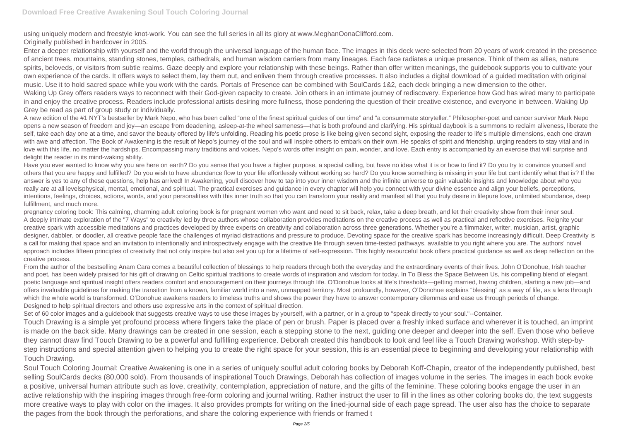using uniquely modern and freestyle knot-work. You can see the full series in all its glory at www.MeghanOonaClifford.com.

Originally published in hardcover in 2005.

Enter a deeper relationship with yourself and the world through the universal language of the human face. The images in this deck were selected from 20 years of work created in the presence of ancient trees, mountains, standing stones, temples, cathedrals, and human wisdom carriers from many lineages. Each face radiates a unique presence. Think of them as allies, nature spirits, beloveds, or visitors from subtle realms. Gaze deeply and explore your relationship with these beings. Rather than offer written meanings, the quidebook supports you to cultivate your own experience of the cards. It offers ways to select them, lay them out, and enliven them through creative processes. It also includes a digital download of a guided meditation with original music. Use it to hold sacred space while you work with the cards. Portals of Presence can be combined with SoulCards 1&2, each deck bringing a new dimension to the other. Waking Up Grey offers readers ways to reconnect with their God-given capacity to create. Join others in an intimate journey of rediscovery. Experience how God has wired many to participate in and enjoy the creative process. Readers include professional artists desiring more fullness, those pondering the question of their creative existence, and everyone in between. Waking Up Grey be read as part of group study or individually.

A new edition of the #1 NYT's bestseller by Mark Nepo, who has been called "one of the finest spiritual guides of our time" and "a consummate storyteller." Philosopher-poet and cancer survivor Mark Nepo opens a new season of freedom and joy—an escape from deadening, asleep-at-the wheel sameness—that is both profound and clarifying. His spiritual daybook is a summons to reclaim aliveness, liberate the self, take each day one at a time, and savor the beauty offered by life's unfolding. Reading his poetic prose is like being given second sight, exposing the reader to life's multiple dimensions, each one drawn with awe and affection. The Book of Awakening is the result of Nepo's journey of the soul and will inspire others to embark on their own. He speaks of spirit and friendship, urging readers to stay vital and in love with this life, no matter the hardships. Encompassing many traditions and voices, Nepo's words offer insight on pain, wonder, and love. Each entry is accompanied by an exercise that will surprise and delight the reader in its mind-waking ability.

Have you ever wanted to know why you are here on earth? Do you sense that you have a higher purpose, a special calling, but have no idea what it is or how to find it? Do you try to convince yourself and others that you are happy and fulfilled? Do you wish to have abundance flow to your life effortlessly without working so hard? Do you know something is missing in your life but cant identify what that is? If the answer is yes to any of these questions, help has arrived! In Awakening, youll discover how to tap into your inner wisdom and the infinite universe to gain valuable insights and knowledge about who you really are at all levelsphysical, mental, emotional, and spiritual. The practical exercises and guidance in every chapter will help you connect with your divine essence and align your beliefs, perceptions, intentions, feelings, choices, actions, words, and your personalities with this inner truth so that you can transform your reality and manifest all that you truly desire in lifepure love, unlimited abundance, deep fulfillment, and much more.

Set of 60 color images and a guidebook that suggests creative ways to use these images by yourself, with a partner, or in a group to "speak directly to your soul."--Container. Touch Drawing is a simple yet profound process where fingers take the place of pen or brush. Paper is placed over a freshly inked surface and wherever it is touched, an imprint is made on the back side. Many drawings can be created in one session, each a stepping stone to the next, guiding one deeper and deeper into the self. Even those who believe they cannot draw find Touch Drawing to be a powerful and fulfilling experience. Deborah created this handbook to look and feel like a Touch Drawing workshop. With step-bystep instructions and special attention given to helping you to create the right space for your session, this is an essential piece to beginning and developing your relationship with Touch Drawing.

pregnancy coloring book: This calming, charming adult coloring book is for pregnant women who want and need to sit back, relax, take a deep breath, and let their creativity show from their inner soul. A deeply intimate exploration of the "7 Ways" to creativity led by three authors whose collaboration provides meditations on the creative process as well as practical and reflective exercises. Reignite your creative spark with accessible meditations and practices developed by three experts on creativity and collaboration across three generations. Whether you're a filmmaker, writer, musician, artist, graphic designer, dabbler, or doodler, all creative people face the challenges of myriad distractions and pressure to produce. Devoting space for the creative spark has become increasingly difficult. Deep Creativity is a call for making that space and an invitation to intentionally and introspectively engage with the creative life through seven time-tested pathways, available to you right where you are. The authors' novel approach includes fifteen principles of creativity that not only inspire but also set you up for a lifetime of self-expression. This highly resourceful book offers practical guidance as well as deep reflection on the creative process.

From the author of the bestselling Anam Cara comes a beautiful collection of blessings to help readers through both the everyday and the extraordinary events of their lives. John O'Donohue, Irish teacher and poet, has been widely praised for his gift of drawing on Celtic spiritual traditions to create words of inspiration and wisdom for today. In To Bless the Space Between Us, his compelling blend of elegant, poetic language and spiritual insight offers readers comfort and encouragement on their journeys through life. O'Donohue looks at life's thresholds—getting married, having children, starting a new iob—and offers invaluable guidelines for making the transition from a known, familiar world into a new, unmapped territory. Most profoundly, however, O'Donohue explains "blessing" as a way of life, as a lens through which the whole world is transformed. O'Donohue awakens readers to timeless truths and shows the power they have to answer contemporary dilemmas and ease us through periods of change. Designed to help spiritual directors and others use expressive arts in the context of spiritual direction.

Soul Touch Coloring Journal: Creative Awakening is one in a series of uniquely soulful adult coloring books by Deborah Koff-Chapin, creator of the independently published, best selling SoulCards decks (80,000 sold). From thousands of inspirational Touch Drawings, Deborah has collection of images volume in the series. The images in each book evoke a positive, universal human attribute such as love, creativity, contemplation, appreciation of nature, and the gifts of the feminine. These coloring books engage the user in an active relationship with the inspiring images through free-form coloring and journal writing. Rather instruct the user to fill in the lines as other coloring books do, the text suggests more creative ways to play with color on the images. It also provides prompts for writing on the lined-journal side of each page spread. The user also has the choice to separate the pages from the book through the perforations, and share the coloring experience with friends or framed t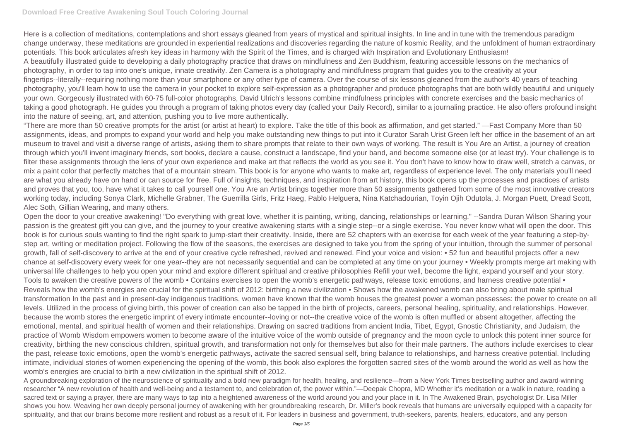Here is a collection of meditations, contemplations and short essays gleaned from years of mystical and spiritual insights. In line and in tune with the tremendous paradigm change underway, these meditations are grounded in experiential realizations and discoveries regarding the nature of kosmic Reality, and the unfoldment of human extraordinary potentials. This book articulates afresh key ideas in harmony with the Spirit of the Times, and is charged with Inspiration and Evolutionary Enthusiasm! A beautifully illustrated guide to developing a daily photography practice that draws on mindfulness and Zen Buddhism, featuring accessible lessons on the mechanics of photography, in order to tap into one's unique, innate creativity. Zen Camera is a photography and mindfulness program that guides you to the creativity at your fingertips--literally--requiring nothing more than your smartphone or any other type of camera. Over the course of six lessons gleaned from the author's 40 years of teaching photography, you'll learn how to use the camera in your pocket to explore self-expression as a photographer and produce photographs that are both wildly beautiful and uniquely your own. Gorgeously illustrated with 60-75 full-color photographs, David Ulrich's lessons combine mindfulness principles with concrete exercises and the basic mechanics of taking a good photograph. He guides you through a program of taking photos every day (called your Daily Record), similar to a journaling practice. He also offers profound insight into the nature of seeing, art, and attention, pushing you to live more authentically.

"There are more than 50 creative prompts for the artist (or artist at heart) to explore. Take the title of this book as affirmation, and get started." —Fast Company More than 50 assignments, ideas, and prompts to expand your world and help you make outstanding new things to put into it Curator Sarah Urist Green left her office in the basement of an art museum to travel and visit a diverse range of artists, asking them to share prompts that relate to their own ways of working. The result is You Are an Artist, a journey of creation through which you'll invent imaginary friends, sort books, declare a cause, construct a landscape, find your band, and become someone else (or at least try). Your challenge is to filter these assignments through the lens of your own experience and make art that reflects the world as you see it. You don't have to know how to draw well, stretch a canvas, or mix a paint color that perfectly matches that of a mountain stream. This book is for anyone who wants to make art, regardless of experience level. The only materials you'll need are what you already have on hand or can source for free. Full of insights, techniques, and inspiration from art history, this book opens up the processes and practices of artists and proves that you, too, have what it takes to call yourself one. You Are an Artist brings together more than 50 assignments gathered from some of the most innovative creators working today, including Sonya Clark, Michelle Grabner, The Guerrilla Girls, Fritz Haeg, Pablo Helguera, Nina Katchadourian, Toyin Ojih Odutola, J. Morgan Puett, Dread Scott, Alec Soth, Gillian Wearing, and many others.

A groundbreaking exploration of the neuroscience of spirituality and a bold new paradigm for health, healing, and resilience—from a New York Times bestselling author and award-winning researcher "A new revolution of health and well-being and a testament to, and celebration of, the power within."—Deepak Chopra, MD Whether it's meditation or a walk in nature, reading a sacred text or saying a prayer, there are many ways to tap into a heightened awareness of the world around you and your place in it. In The Awakened Brain, psychologist Dr. Lisa Miller shows you how. Weaving her own deeply personal journey of awakening with her groundbreaking research, Dr. Miller's book reveals that humans are universally equipped with a capacity for spirituality, and that our brains become more resilient and robust as a result of it. For leaders in business and government, truth-seekers, parents, healers, educators, and any person

Open the door to your creative awakening! "Do everything with great love, whether it is painting, writing, dancing, relationships or learning." --Sandra Duran Wilson Sharing your passion is the greatest gift you can give, and the journey to your creative awakening starts with a single step--or a single exercise. You never know what will open the door. This book is for curious souls wanting to find the right spark to jump-start their creativity. Inside, there are 52 chapters with an exercise for each week of the year featuring a step-bystep art, writing or meditation project. Following the flow of the seasons, the exercises are designed to take you from the spring of your intuition, through the summer of personal growth, fall of self-discovery to arrive at the end of your creative cycle refreshed, revived and renewed. Find your voice and vision: • 52 fun and beautiful projects offer a new chance at self-discovery every week for one year--they are not necessarily sequential and can be completed at any time on your journey • Weekly prompts merge art making with universal life challenges to help you open your mind and explore different spiritual and creative philosophies Refill your well, become the light, expand yourself and your story. Tools to awaken the creative powers of the womb • Contains exercises to open the womb's energetic pathways, release toxic emotions, and harness creative potential • Reveals how the womb's energies are crucial for the spiritual shift of 2012: birthing a new civilization • Shows how the awakened womb can also bring about male spiritual transformation In the past and in present-day indigenous traditions, women have known that the womb houses the greatest power a woman possesses: the power to create on all levels. Utilized in the process of giving birth, this power of creation can also be tapped in the birth of projects, careers, personal healing, spirituality, and relationships. However, because the womb stores the energetic imprint of every intimate encounter--loving or not--the creative voice of the womb is often muffled or absent altogether, affecting the emotional, mental, and spiritual health of women and their relationships. Drawing on sacred traditions from ancient India, Tibet, Egypt, Gnostic Christianity, and Judaism, the practice of Womb Wisdom empowers women to become aware of the intuitive voice of the womb outside of pregnancy and the moon cycle to unlock this potent inner source for creativity, birthing the new conscious children, spiritual growth, and transformation not only for themselves but also for their male partners. The authors include exercises to clear the past, release toxic emotions, open the womb's energetic pathways, activate the sacred sensual self, bring balance to relationships, and harness creative potential. Including intimate, individual stories of women experiencing the opening of the womb, this book also explores the forgotten sacred sites of the womb around the world as well as how the womb's energies are crucial to birth a new civilization in the spiritual shift of 2012.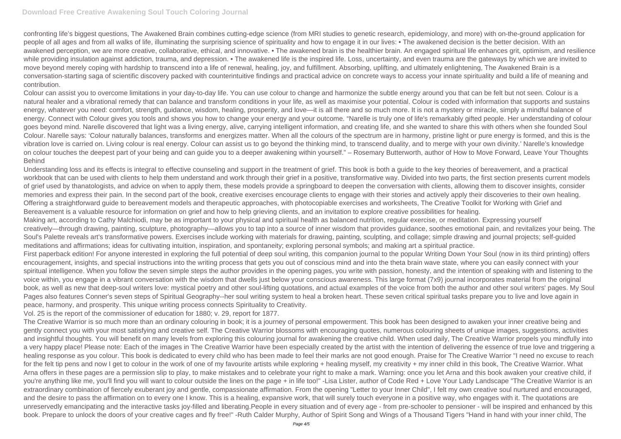confronting life's biggest questions, The Awakened Brain combines cutting-edge science (from MRI studies to genetic research, epidemiology, and more) with on-the-ground application for people of all ages and from all walks of life, illuminating the surprising science of spirituality and how to engage it in our lives: • The awakened decision is the better decision. With an awakened perception, we are more creative, collaborative, ethical, and innovative. • The awakened brain is the healthier brain. An engaged spiritual life enhances grit, optimism, and resilience while providing insulation against addiction, trauma, and depression. • The awakened life is the inspired life. Loss, uncertainty, and even trauma are the gateways by which we are invited to move beyond merely coping with hardship to transcend into a life of renewal, healing, joy, and fulfillment. Absorbing, uplifting, and ultimately enlightening, The Awakened Brain is a conversation-starting saga of scientific discovery packed with counterintuitive findings and practical advice on concrete ways to access your innate spirituality and build a life of meaning and contribution.

Colour can assist you to overcome limitations in your day-to-day life. You can use colour to change and harmonize the subtle energy around you that can be felt but not seen. Colour is a natural healer and a vibrational remedy that can balance and transform conditions in your life, as well as maximise your potential. Colour is coded with information that supports and sustains energy, whatever you need: comfort, strength, guidance, wisdom, healing, prosperity, and love—it is all there and so much more. It is not a mystery or miracle, simply a mindful balance of energy. Connect with Colour gives you tools and shows you how to change your energy and your outcome. "Narelle is truly one of life's remarkably gifted people. Her understanding of colour goes beyond mind. Narelle discovered that light was a living energy, alive, carrying intelligent information, and creating life, and she wanted to share this with others when she founded Soul Colour. Narelle says: 'Colour naturally balances, transforms and energizes matter. When all the colours of the spectrum are in harmony, pristine light or pure energy is formed, and this is the vibration love is carried on. Living colour is real energy. Colour can assist us to go beyond the thinking mind, to transcend duality, and to merge with your own divinity.' Narelle's knowledge on colour touches the deepest part of your being and can guide you to a deeper awakening within yourself." – Rosemary Butterworth, author of How to Move Forward, Leave Your Thoughts Behind

Understanding loss and its effects is integral to effective counseling and support in the treatment of grief. This book is both a guide to the key theories of bereavement, and a practical workbook that can be used with clients to help them understand and work through their grief in a positive, transformative way. Divided into two parts, the first section presents current models of grief used by thanatologists, and advice on when to apply them, these models provide a springboard to deepen the conversation with clients, allowing them to discover insights, consider memories and express their pain. In the second part of the book, creative exercises encourage clients to engage with their stories and actively apply their discoveries to their own healing. Offering a straightforward guide to bereavement models and therapeutic approaches, with photocopiable exercises and worksheets, The Creative Toolkit for Working with Grief and Bereavement is a valuable resource for information on grief and how to help grieving clients, and an invitation to explore creative possibilities for healing. Making art, according to Cathy Malchiodi, may be as important to your physical and spiritual health as balanced nutrition, regular exercise, or meditation. Expressing yourself creatively—through drawing, painting, sculpture, photography—allows you to tap into a source of inner wisdom that provides guidance, soothes emotional pain, and revitalizes your being. The Soul's Palette reveals art's transformative powers. Exercises include working with materials for drawing, painting, sculpting, and collage; simple drawing and journal projects; self-guided meditations and affirmations; ideas for cultivating intuition, inspiration, and spontaneity; exploring personal symbols; and making art a spiritual practice. First paperback edition! For anyone interested in exploring the full potential of deep soul writing, this companion journal to the popular Writing Down Your Soul (now in its third printing) offers encouragement, insights, and special instructions into the writing process that gets you out of conscious mind and into the theta brain wave state, where you can easily connect with your spiritual intelligence. When you follow the seven simple steps the author provides in the opening pages, you write with passion, honesty, and the intention of speaking with and listening to the voice within, you engage in a vibrant conversation with the wisdom that dwells just below your conscious awareness. This large format (7x9) journal incorporates material from the original book, as well as new that deep-soul writers love: mystical poetry and other soul-lifting quotations, and actual examples of the voice from both the author and other soul writers' pages. My Soul Pages also features Conner's seven steps of Spiritual Geography--her soul writing system to heal a broken heart. These seven critical spiritual tasks prepare you to live and love again in peace, harmony, and prosperity. This unique writing process connects Spirituality to Creativity.

Vol. 25 is the report of the commissioner of education for 1880; v. 29, report for 1877.

The Creative Warrior is so much more than an ordinary colouring in book; it is a journey of personal empowerment. This book has been designed to awaken your inner creative being and gently connect you with your most satisfying and creative self. The Creative Warrior blossoms with encouraging quotes, numerous colouring sheets of unique images, suggestions, activities and insightful thoughts. You will benefit on many levels from exploring this colouring journal for awakening the creative child. When used daily, The Creative Warrior propels you mindfully into a very happy place! Please note: Each of the images in The Creative Warrior have been especially created by the artist with the intention of delivering the essence of true love and triggering a healing response as you colour. This book is dedicated to every child who has been made to feel their marks are not good enough. Praise for The Creative Warrior "I need no excuse to reach for the felt tip pens and now I get to colour in the work of one of my favourite artists while exploring + healing myself, my creativity + my inner child in this book, The Creative Warrior. What Arna offers in these pages are a permission slip to play, to make mistakes and to celebrate your right to make a mark. Warning: once you let Arna and this book awaken your creative child, if you're anything like me, you'll find you will want to colour outside the lines on the page + in life too!" -Lisa Lister, author of Code Red + Love Your Lady Landscape "The Creative Warrior is an extraordinary combination of fiercely exuberant joy and gentle, compassionate affirmation. From the opening "Letter to your Inner Child", I felt my own creative soul nurtured and encouraged, and the desire to pass the affirmation on to every one I know. This is a healing, expansive work, that will surely touch everyone in a positive way, who engages with it. The quotations are unreservedly emancipating and the interactive tasks joy-filled and liberating.People in every situation and of every age - from pre-schooler to pensioner - will be inspired and enhanced by this book. Prepare to unlock the doors of your creative cages and fly free!" -Ruth Calder Murphy, Author of Spirit Song and Wings of a Thousand Tigers "Hand in hand with your inner child, The

- 
-